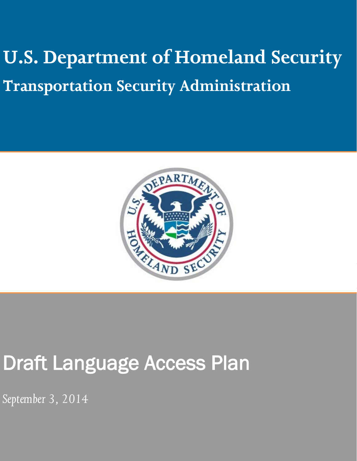# **U.S. Department of Homeland Security Transportation Security Administration**



## Draft Language Access Plan

*September 3, 2014*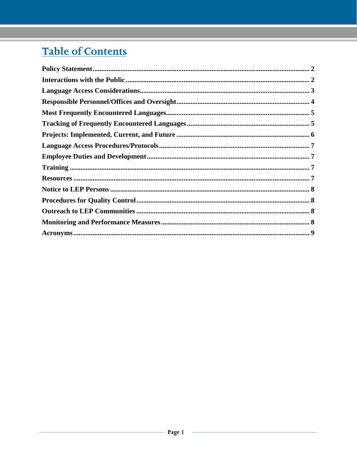### **Table of Contents**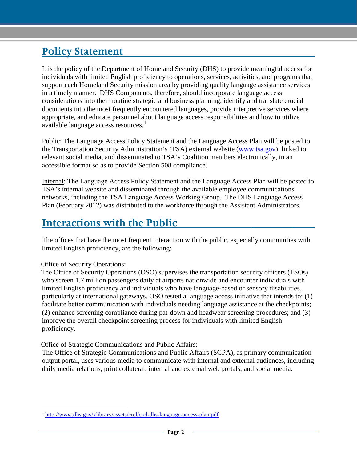#### <span id="page-2-0"></span>**Policy Statement**

It is the policy of the Department of Homeland Security (DHS) to provide meaningful access for individuals with limited English proficiency to operations, services, activities, and programs that support each Homeland Security mission area by providing quality language assistance services in a timely manner. DHS Components, therefore, should incorporate language access considerations into their routine strategic and business planning, identify and translate crucial documents into the most frequently encountered languages, provide interpretive services where appropriate, and educate personnel about language access responsibilities and how to utilize available language access resources.<sup>[1](#page-2-2)</sup>

Public: The Language Access Policy Statement and the Language Access Plan will be posted to the Transportation Security Administration's (TSA) external website [\(www.tsa.gov\)](http://www.tsa.gov/), linked to relevant social media, and disseminated to TSA's Coalition members electronically, in an accessible format so as to provide Section 508 compliance.

Internal: The Language Access Policy Statement and the Language Access Plan will be posted to TSA's internal website and disseminated through the available employee communications networks, including the TSA Language Access Working Group. The DHS Language Access Plan (February 2012) was distributed to the workforce through the Assistant Administrators.

#### <span id="page-2-1"></span>**Interactions with the Public \_\_\_\_\_\_\_**

The offices that have the most frequent interaction with the public, especially communities with limited English proficiency, are the following:

Office of Security Operations:

 $\overline{a}$ 

The Office of Security Operations (OSO) supervises the transportation security officers (TSOs) who screen 1.7 million passengers daily at airports nationwide and encounter individuals with limited English proficiency and individuals who have language-based or sensory disabilities, particularly at international gateways. OSO tested a language access initiative that intends to: (1) facilitate better communication with individuals needing language assistance at the checkpoints; (2) enhance screening compliance during pat-down and headwear screening procedures; and (3) improve the overall checkpoint screening process for individuals with limited English proficiency.

Office of Strategic Communications and Public Affairs:

The Office of Strategic Communications and Public Affairs (SCPA), as primary communication output portal, uses various media to communicate with internal and external audiences, including daily media relations, print collateral, internal and external web portals, and social media.

<span id="page-2-2"></span><sup>&</sup>lt;sup>1</sup> <http://www.dhs.gov/xlibrary/assets/crcl/crcl-dhs-language-access-plan.pdf>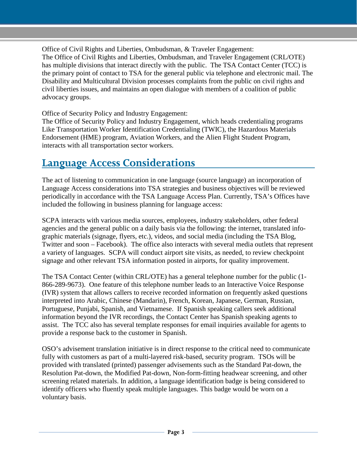Office of Civil Rights and Liberties, Ombudsman, & Traveler Engagement: The Office of Civil Rights and Liberties, Ombudsman, and Traveler Engagement (CRL/OTE) has multiple divisions that interact directly with the public. The TSA Contact Center (TCC) is the primary point of contact to TSA for the general public via telephone and electronic mail. The Disability and Multicultural Division processes complaints from the public on civil rights and civil liberties issues, and maintains an open dialogue with members of a coalition of public advocacy groups.

Office of Security Policy and Industry Engagement:

The Office of Security Policy and Industry Engagement, which heads credentialing programs Like Transportation Worker Identification Credentialing (TWIC), the Hazardous Materials Endorsement (HME) program, Aviation Workers, and the Alien Flight Student Program, interacts with all transportation sector workers.

#### <span id="page-3-0"></span>**Language Access Considerations**

The act of listening to communication in one language (source language) an incorporation of Language Access considerations into TSA strategies and business objectives will be reviewed periodically in accordance with the TSA Language Access Plan. Currently, TSA's Offices have included the following in business planning for language access:

SCPA interacts with various media sources, employees, industry stakeholders, other federal agencies and the general public on a daily basis via the following: the internet, translated infographic materials (signage, flyers, etc.), videos, and social media (including the TSA Blog, Twitter and soon – Facebook). The office also interacts with several media outlets that represent a variety of languages. SCPA will conduct airport site visits, as needed, to review checkpoint signage and other relevant TSA information posted in airports, for quality improvement.

The TSA Contact Center (within CRL/OTE) has a general telephone number for the public (1- 866-289-9673). One feature of this telephone number leads to an Interactive Voice Response (IVR) system that allows callers to receive recorded information on frequently asked questions interpreted into Arabic, Chinese (Mandarin), French, Korean, Japanese, German, Russian, Portuguese, Punjabi, Spanish, and Vietnamese. If Spanish speaking callers seek additional information beyond the IVR recordings, the Contact Center has Spanish speaking agents to assist. The TCC also has several template responses for email inquiries available for agents to provide a response back to the customer in Spanish.

OSO's advisement translation initiative is in direct response to the critical need to communicate fully with customers as part of a multi-layered risk-based, security program. TSOs will be provided with translated (printed) passenger advisements such as the Standard Pat-down, the Resolution Pat-down, the Modified Pat-down, Non-form-fitting headwear screening, and other screening related materials. In addition, a language identification badge is being considered to identify officers who fluently speak multiple languages. This badge would be worn on a voluntary basis.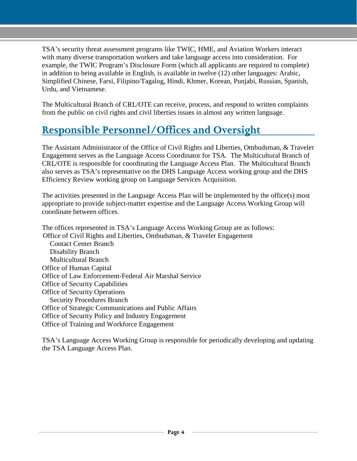TSA's security threat assessment programs like TWIC, HME, and Aviation Workers interact with many diverse transportation workers and take language access into consideration. For example, the TWIC Program's Disclosure Form (which all applicants are required to complete) in addition to being available in English, is available in twelve (12) other languages: Arabic, Simplified Chinese, Farsi, Filipino/Tagalog, Hindi, Khmer, Korean, Punjabi, Russian, Spanish, Urdu, and Vietnamese.

The Multicultural Branch of CRL/OTE can receive, process, and respond to written complaints from the public on civil rights and civil liberties issues in almost any written language.

#### <span id="page-4-0"></span>**Responsible Personnel/Offices and Oversight**

The Assistant Administrator of the Office of Civil Rights and Liberties, Ombudsman, & Traveler Engagement serves as the Language Access Coordinator for TSA. The Multicultural Branch of CRL/OTE is responsible for coordinating the Language Access Plan. The Multicultural Branch also serves as TSA's representative on the DHS Language Access working group and the DHS Efficiency Review working group on Language Services Acquisition.

The activities presented in the Language Access Plan will be implemented by the office(s) most appropriate to provide subject-matter expertise and the Language Access Working Group will coordinate between offices.

The offices represented in TSA's Language Access Working Group are as follows: Office of Civil Rights and Liberties, Ombudsman, & Traveler Engagement Contact Center Branch Disability Branch Multicultural Branch Office of Human Capital Office of Law Enforcement-Federal Air Marshal Service Office of Security Capabilities Office of Security Operations Security Procedures Branch Office of Strategic Communications and Public Affairs Office of Security Policy and Industry Engagement Office of Training and Workforce Engagement

TSA's Language Access Working Group is responsible for periodically developing and updating the TSA Language Access Plan.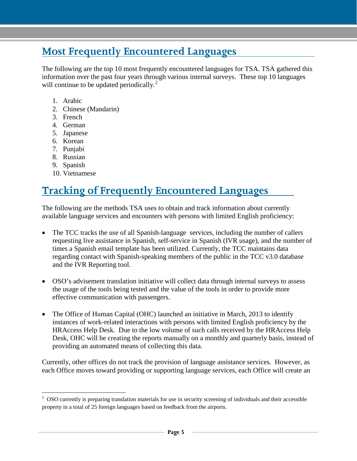#### <span id="page-5-0"></span>**Most Frequently Encountered Languages**

The following are the top 10 most frequently encountered languages for TSA. TSA gathered this information over the past four years through various internal surveys. These top 10 languages will continue to be updated periodically.<sup>[2](#page-5-2)</sup>

- 1. Arabic
- 2. Chinese (Mandarin)
- 3. French
- 4. German
- 5. Japanese
- 6. Korean
- 7. Punjabi
- 8. Russian
- 9. Spanish
- 10. Vietnamese

#### <span id="page-5-1"></span>**Tracking of Frequently Encountered Languages**

The following are the methods TSA uses to obtain and track information about currently available language services and encounters with persons with limited English proficiency:

- The TCC tracks the use of all Spanish-language services, including the number of callers requesting live assistance in Spanish, self-service in Spanish (IVR usage), and the number of times a Spanish email template has been utilized. Currently, the TCC maintains data regarding contact with Spanish-speaking members of the public in the TCC v3.0 database and the IVR Reporting tool.
- OSO's advisement translation initiative will collect data through internal surveys to assess the usage of the tools being tested and the value of the tools in order to provide more effective communication with passengers.
- The Office of Human Capital (OHC) launched an initiative in March, 2013 to identify instances of work-related interactions with persons with limited English proficiency by the HRAccess Help Desk. Due to the low volume of such calls received by the HRAccess Help Desk, OHC will be creating the reports manually on a monthly and quarterly basis, instead of providing an automated means of collecting this data.

Currently, other offices do not track the provision of language assistance services. However, as each Office moves toward providing or supporting language services, each Office will create an

<span id="page-5-2"></span> $2$  OSO currently is preparing translation materials for use in security screening of individuals and their accessible property in a total of 25 foreign languages based on feedback from the airports.  $\overline{a}$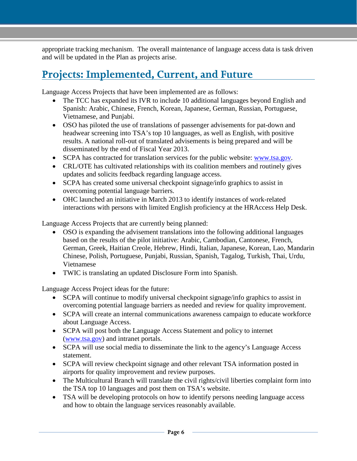appropriate tracking mechanism. The overall maintenance of language access data is task driven and will be updated in the Plan as projects arise.

#### <span id="page-6-0"></span>**Projects: Implemented, Current, and Future**

Language Access Projects that have been implemented are as follows:

- The TCC has expanded its IVR to include 10 additional languages beyond English and Spanish: Arabic, Chinese, French, Korean, Japanese, German, Russian, Portuguese, Vietnamese, and Punjabi.
- OSO has piloted the use of translations of passenger advisements for pat-down and headwear screening into TSA's top 10 languages, as well as English, with positive results. A national roll-out of translated advisements is being prepared and will be disseminated by the end of Fiscal Year 2013.
- SCPA has contracted for translation services for the public website: [www.tsa.gov.](http://www.tsa.gov/)
- CRL/OTE has cultivated relationships with its coalition members and routinely gives updates and solicits feedback regarding language access.
- SCPA has created some universal checkpoint signage/info graphics to assist in overcoming potential language barriers.
- OHC launched an initiative in March 2013 to identify instances of work-related interactions with persons with limited English proficiency at the HRAccess Help Desk.

Language Access Projects that are currently being planned:

- OSO is expanding the advisement translations into the following additional languages based on the results of the pilot initiative: Arabic, Cambodian, Cantonese, French, German, Greek, Haitian Creole, Hebrew, Hindi, Italian, Japanese, Korean, Lao, Mandarin Chinese, Polish, Portuguese, Punjabi, Russian, Spanish, Tagalog, Turkish, Thai, Urdu, Vietnamese
- TWIC is translating an updated Disclosure Form into Spanish.

Language Access Project ideas for the future:

- SCPA will continue to modify universal checkpoint signage/info graphics to assist in overcoming potential language barriers as needed and review for quality improvement.
- SCPA will create an internal communications awareness campaign to educate workforce about Language Access.
- SCPA will post both the Language Access Statement and policy to internet [\(www.tsa.gov\)](http://www.tsa.gov/) and intranet portals.
- SCPA will use social media to disseminate the link to the agency's Language Access statement.
- SCPA will review checkpoint signage and other relevant TSA information posted in airports for quality improvement and review purposes.
- The Multicultural Branch will translate the civil rights/civil liberties complaint form into the TSA top 10 languages and post them on TSA's website.
- TSA will be developing protocols on how to identify persons needing language access and how to obtain the language services reasonably available.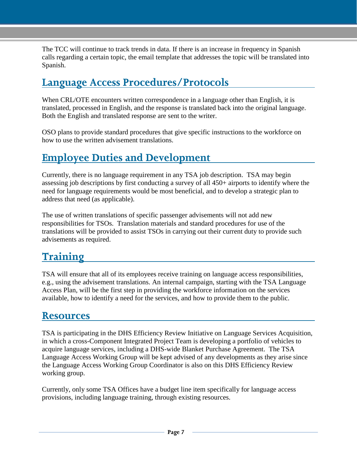The TCC will continue to track trends in data. If there is an increase in frequency in Spanish calls regarding a certain topic, the email template that addresses the topic will be translated into Spanish.

#### <span id="page-7-0"></span>**Language Access Procedures/Protocols**

When CRL/OTE encounters written correspondence in a language other than English, it is translated, processed in English, and the response is translated back into the original language. Both the English and translated response are sent to the writer.

OSO plans to provide standard procedures that give specific instructions to the workforce on how to use the written advisement translations.

#### <span id="page-7-1"></span>**Employee Duties and Development**

Currently, there is no language requirement in any TSA job description. TSA may begin assessing job descriptions by first conducting a survey of all 450+ airports to identify where the need for language requirements would be most beneficial, and to develop a strategic plan to address that need (as applicable).

The use of written translations of specific passenger advisements will not add new responsibilities for TSOs. Translation materials and standard procedures for use of the translations will be provided to assist TSOs in carrying out their current duty to provide such advisements as required.

#### <span id="page-7-2"></span>**Training**

TSA will ensure that all of its employees receive training on language access responsibilities, e.g., using the advisement translations. An internal campaign, starting with the TSA Language Access Plan, will be the first step in providing the workforce information on the services available, how to identify a need for the services, and how to provide them to the public.

#### <span id="page-7-3"></span>**Resources**

TSA is participating in the DHS Efficiency Review Initiative on Language Services Acquisition, in which a cross-Component Integrated Project Team is developing a portfolio of vehicles to acquire language services, including a DHS-wide Blanket Purchase Agreement. The TSA Language Access Working Group will be kept advised of any developments as they arise since the Language Access Working Group Coordinator is also on this DHS Efficiency Review working group.

Currently, only some TSA Offices have a budget line item specifically for language access provisions, including language training, through existing resources.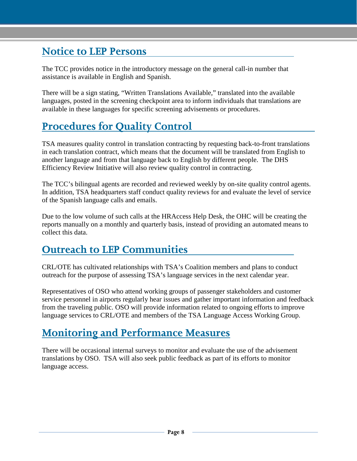#### <span id="page-8-0"></span>**Notice to LEP Persons**

The TCC provides notice in the introductory message on the general call-in number that assistance is available in English and Spanish.

There will be a sign stating, "Written Translations Available," translated into the available languages, posted in the screening checkpoint area to inform individuals that translations are available in these languages for specific screening advisements or procedures.

#### <span id="page-8-1"></span>**Procedures for Quality Control**

TSA measures quality control in translation contracting by requesting back-to-front translations in each translation contract, which means that the document will be translated from English to another language and from that language back to English by different people. The DHS Efficiency Review Initiative will also review quality control in contracting.

The TCC's bilingual agents are recorded and reviewed weekly by on-site quality control agents. In addition, TSA headquarters staff conduct quality reviews for and evaluate the level of service of the Spanish language calls and emails.

Due to the low volume of such calls at the HRAccess Help Desk, the OHC will be creating the reports manually on a monthly and quarterly basis, instead of providing an automated means to collect this data.

#### <span id="page-8-2"></span>**Outreach to LEP Communities**

CRL/OTE has cultivated relationships with TSA's Coalition members and plans to conduct outreach for the purpose of assessing TSA's language services in the next calendar year.

Representatives of OSO who attend working groups of passenger stakeholders and customer service personnel in airports regularly hear issues and gather important information and feedback from the traveling public. OSO will provide information related to ongoing efforts to improve language services to CRL/OTE and members of the TSA Language Access Working Group.

#### <span id="page-8-3"></span>**Monitoring and Performance Measures**

There will be occasional internal surveys to monitor and evaluate the use of the advisement translations by OSO. TSA will also seek public feedback as part of its efforts to monitor language access.